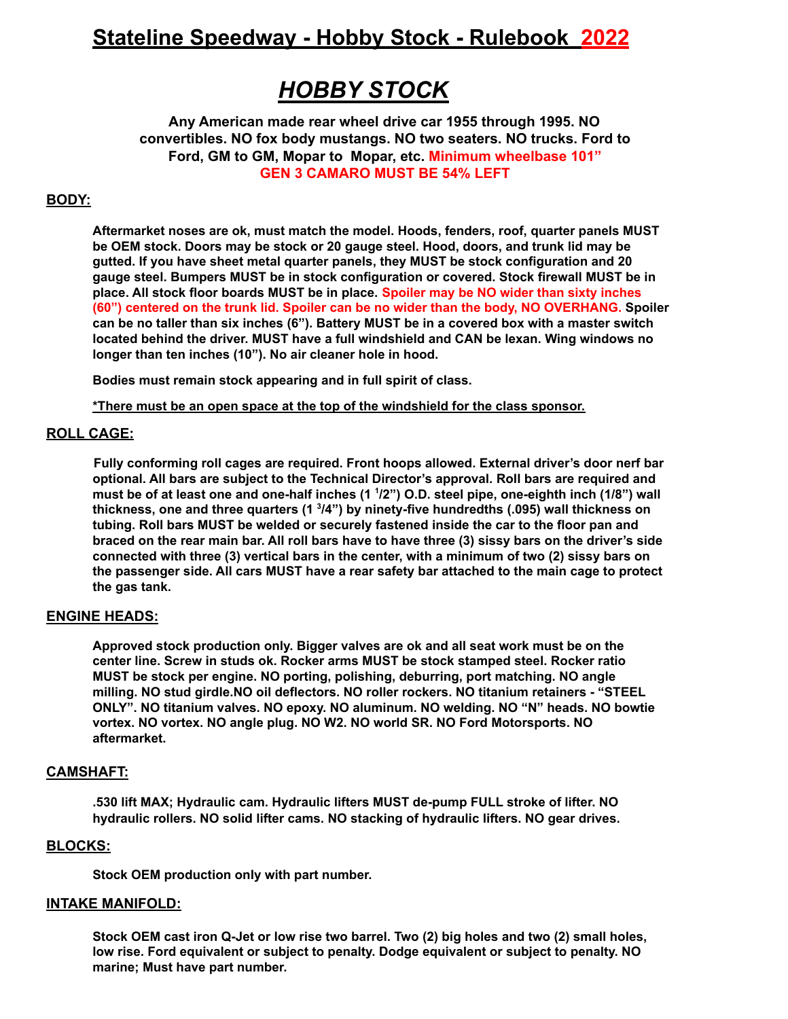# **Stateline Speedway - Hobby Stock - Rulebook 2022**

# *HOBBY STOCK*

**Any American made rear wheel drive car 1955 through 1995. NO convertibles. NO fox body mustangs. NO two seaters. NO trucks. Ford to Ford, GM to GM, Mopar to Mopar, etc. Minimum wheelbase 101" GEN 3 CAMARO MUST BE 54% LEFT**

# **BODY:**

**Aftermarket noses are ok, must match the model. Hoods, fenders, roof, quarter panels MUST be OEM stock. Doors may be stock or 20 gauge steel. Hood, doors, and trunk lid may be gutted. If you have sheet metal quarter panels, they MUST be stock configuration and 20 gauge steel. Bumpers MUST be in stock configuration or covered. Stock firewall MUST be in place. All stock floor boards MUST be in place. Spoiler may be NO wider than sixty inches (60") centered on the trunk lid. Spoiler can be no wider than the body, NO OVERHANG. Spoiler** can be no taller than six inches (6"). Battery MUST be in a covered box with a master switch **located behind the driver. MUST have a full windshield and CAN be lexan. Wing windows no longer than ten inches (10"). No air cleaner hole in hood.**

**Bodies must remain stock appearing and in full spirit of class.**

**\*There must be an open space at the top of the windshield for the class sponsor.**

# **ROLL CAGE:**

**Fully conforming roll cages are required. Front hoops allowed. External driver's door nerf bar optional. All bars are subject to the Technical Director's approval. Roll bars are required and** must be of at least one and one-half inches (1 1/2") O.D. steel pipe, one-eighth inch (1/8") wall **thickness, one and three quarters (1 3 /4") by ninety-five hundredths (.095) wall thickness on tubing. Roll bars MUST be welded or securely fastened inside the car to the floor pan and** braced on the rear main bar. All roll bars have to have three (3) sissy bars on the driver's side **connected with three (3) vertical bars in the center, with a minimum of two (2) sissy bars on the passenger side. All cars MUST have a rear safety bar attached to the main cage to protect the gas tank.**

# **ENGINE HEADS:**

**Approved stock production only. Bigger valves are ok and all seat work must be on the center line. Screw in studs ok. Rocker arms MUST be stock stamped steel. Rocker ratio MUST be stock per engine. NO porting, polishing, deburring, port matching. NO angle milling. NO stud girdle.NO oil deflectors. NO roller rockers. NO titanium retainers - "STEEL ONLY". NO titanium valves. NO epoxy. NO aluminum. NO welding. NO "N" heads. NO bowtie vortex. NO vortex. NO angle plug. NO W2. NO world SR. NO Ford Motorsports. NO aftermarket.**

# **CAMSHAFT:**

**.530 lift MAX; Hydraulic cam. Hydraulic lifters MUST de-pump FULL stroke of lifter. NO hydraulic rollers. NO solid lifter cams. NO stacking of hydraulic lifters. NO gear drives.**

# **BLOCKS:**

**Stock OEM production only with part number.**

# **INTAKE MANIFOLD:**

Stock OEM cast iron Q-Jet or low rise two barrel. Two (2) big holes and two (2) small holes, **low rise. Ford equivalent or subject to penalty. Dodge equivalent or subject to penalty. NO marine; Must have part number.**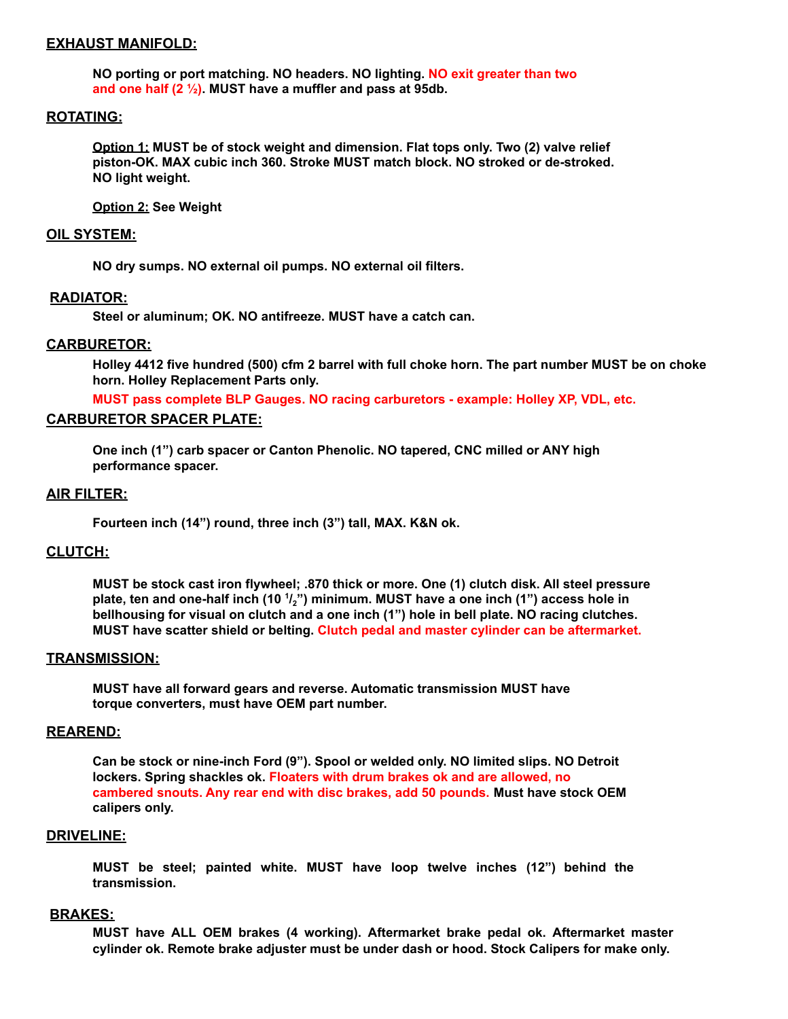### **EXHAUST MANIFOLD:**

**NO porting or port matching. NO headers. NO lighting. NO exit greater than two and one half (2 ½). MUST have a muffler and pass at 95db.**

# **ROTATING:**

**Option 1: MUST be of stock weight and dimension. Flat tops only. Two (2) valve relief piston-OK. MAX cubic inch 360. Stroke MUST match block. NO stroked or de-stroked. NO light weight.**

**Option 2: See Weight**

#### **OIL SYSTEM:**

**NO dry sumps. NO external oil pumps. NO external oil filters.**

#### **RADIATOR:**

**Steel or aluminum; OK. NO antifreeze. MUST have a catch can.**

#### **CARBURETOR:**

Holley 4412 five hundred (500) cfm 2 barrel with full choke horn. The part number MUST be on choke **horn. Holley Replacement Parts only.**

**MUST pass complete BLP Gauges. NO racing carburetors - example: Holley XP, VDL, etc.**

# **CARBURETOR SPACER PLATE:**

**One inch (1") carb spacer or Canton Phenolic. NO tapered, CNC milled or ANY high performance spacer.**

# **AIR FILTER:**

**Fourteen inch (14") round, three inch (3") tall, MAX. K&N ok.**

# **CLUTCH:**

**MUST be stock cast iron flywheel; .870 thick or more. One (1) clutch disk. All steel pressure** plate, ten and one-half inch (10  $^1\hspace{-0.1mm}I_2$ ") minimum. MUST have a one inch (1") access hole in **bellhousing for visual on clutch and a one inch (1") hole in bell plate. NO racing clutches. MUST have scatter shield or belting. Clutch pedal and master cylinder can be aftermarket.**

#### **TRANSMISSION:**

**MUST have all forward gears and reverse. Automatic transmission MUST have torque converters, must have OEM part number.**

#### **REAREND:**

**Can be stock or nine-inch Ford (9"). Spool or welded only. NO limited slips. NO Detroit lockers. Spring shackles ok. Floaters with drum brakes ok and are allowed, no cambered snouts. Any rear end with disc brakes, add 50 pounds. Must have stock OEM calipers only.**

#### **DRIVELINE:**

**MUST be steel; painted white. MUST have loop twelve inches (12") behind the transmission.**

#### **BRAKES:**

**MUST have ALL OEM brakes (4 working). Aftermarket brake pedal ok. Aftermarket master cylinder ok. Remote brake adjuster must be under dash or hood. Stock Calipers for make only.**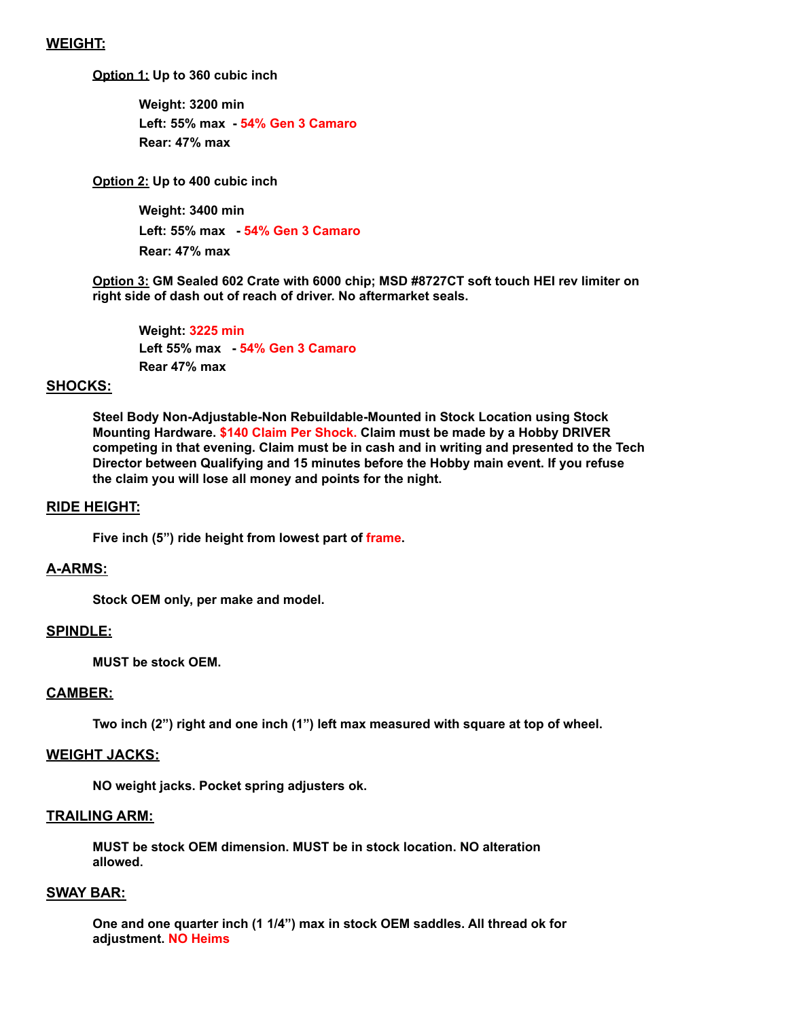# **WEIGHT:**

**Option 1: Up to 360 cubic inch**

**Weight: 3200 min Left: 55% max - 54% Gen 3 Camaro Rear: 47% max**

**Option 2: Up to 400 cubic inch**

**Weight: 3400 min Left: 55% max - 54% Gen 3 Camaro Rear: 47% max**

**Option 3: GM Sealed 602 Crate with 6000 chip; MSD #8727CT soft touch HEI rev limiter on right side of dash out of reach of driver. No aftermarket seals.**

**Weight: 3225 min Left 55% max - 54% Gen 3 Camaro Rear 47% max**

## **SHOCKS:**

**Steel Body Non-Adjustable-Non Rebuildable-Mounted in Stock Location using Stock Mounting Hardware. \$140 Claim Per Shock. Claim must be made by a Hobby DRIVER competing in that evening. Claim must be in cash and in writing and presented to the Tech Director between Qualifying and 15 minutes before the Hobby main event. If you refuse the claim you will lose all money and points for the night.**

#### **RIDE HEIGHT:**

**Five inch (5") ride height from lowest part of frame.**

## **A-ARMS:**

**Stock OEM only, per make and model.**

## **SPINDLE:**

**MUST be stock OEM.**

#### **CAMBER:**

**Two inch (2") right and one inch (1") left max measured with square at top of wheel.**

#### **WEIGHT JACKS:**

**NO weight jacks. Pocket spring adjusters ok.**

# **TRAILING ARM:**

**MUST be stock OEM dimension. MUST be in stock location. NO alteration allowed.**

# **SWAY BAR:**

**One and one quarter inch (1 1/4") max in stock OEM saddles. All thread ok for adjustment. NO Heims**